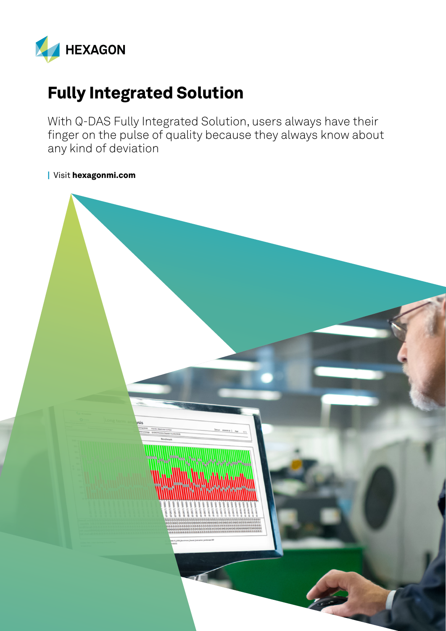

## Fully Integrated Solution

With Q-DAS Fully Integrated Solution, users always have their finger on the pulse of quality because they always know about any kind of deviation

| Visit [hexagonmi.com](https://www.hexagonmi.com/)